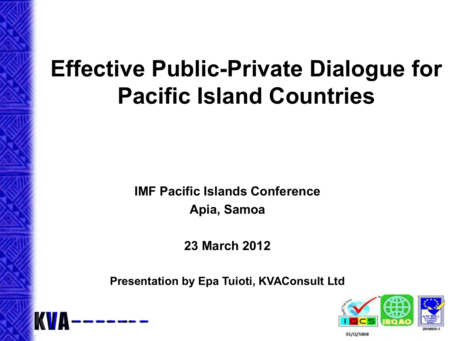# **Effective Public-Private Dialogue for Pacific Island Countries**

**IMF Pacific Islands Conference Apia, Samoa** 

**23 March 2012** 

**Presentation by Epa Tuioti, KVAConsult Ltd** 



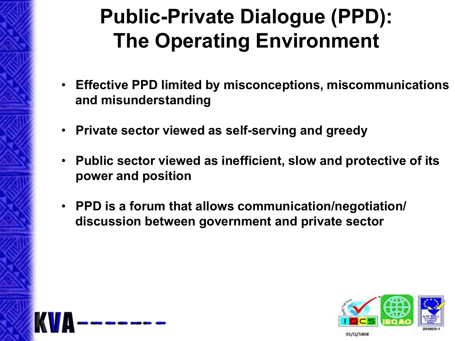# **Public-Private Dialogue (PPD): The Operating Environment**

- **Effective PPD limited by misconceptions, miscommunications and misunderstanding**
- **Private sector viewed as self-serving and greedy**
- **Public sector viewed as inefficient, slow and protective of its power and position**
- **PPD is a forum that allows communication/negotiation/ discussion between government and private sector**



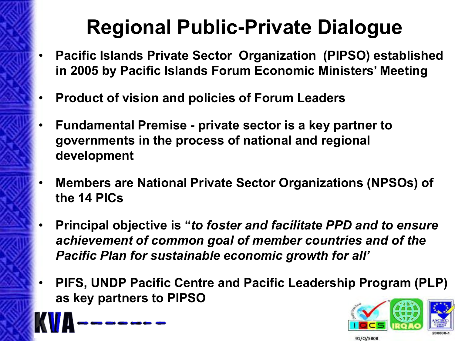# **Regional Public-Private Dialogue**

- **Pacific Islands Private Sector Organization (PIPSO) established in 2005 by Pacific Islands Forum Economic Ministers' Meeting**
- **Product of vision and policies of Forum Leaders**
- **Fundamental Premise private sector is a key partner to governments in the process of national and regional development**
- **Members are National Private Sector Organizations (NPSOs) of the 14 PICs**
- **Principal objective is "***to foster and facilitate PPD and to ensure achievement of common goal of member countries and of the Pacific Plan for sustainable economic growth for all'*
- **PIFS, UNDP Pacific Centre and Pacific Leadership Program (PLP) as key partners to PIPSO**





91/Q/5808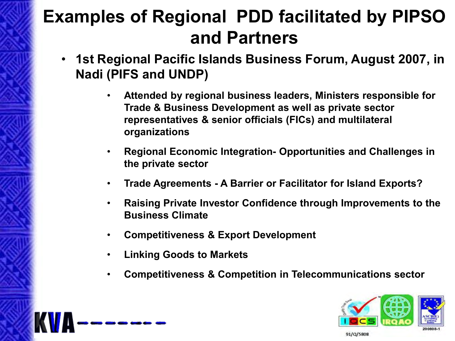#### **Examples of Regional PDD facilitated by PIPSO and Partners**

- **1st Regional Pacific Islands Business Forum, August 2007, in Nadi (PIFS and UNDP)** 
	- **Attended by regional business leaders, Ministers responsible for Trade & Business Development as well as private sector representatives & senior officials (FICs) and multilateral organizations**
	- **Regional Economic Integration- Opportunities and Challenges in the private sector**
	- **Trade Agreements A Barrier or Facilitator for Island Exports?**
	- **Raising Private Investor Confidence through Improvements to the Business Climate**
	- **Competitiveness & Export Development**
	- **Linking Goods to Markets**
	- **Competitiveness & Competition in Telecommunications sector**

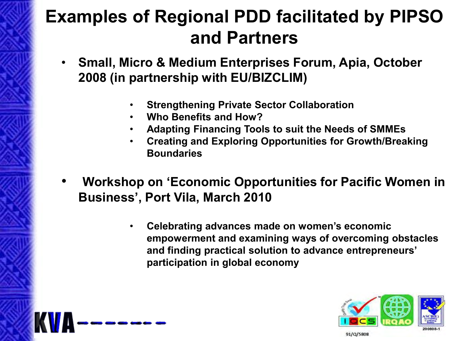#### **Examples of Regional PDD facilitated by PIPSO and Partners**

- **Small, Micro & Medium Enterprises Forum, Apia, October 2008 (in partnership with EU/BIZCLIM)** 
	- **Strengthening Private Sector Collaboration**
	- **Who Benefits and How?**
	- **Adapting Financing Tools to suit the Needs of SMMEs**
	- **Creating and Exploring Opportunities for Growth/Breaking Boundaries**
- **Workshop on 'Economic Opportunities for Pacific Women in Business', Port Vila, March 2010** 
	- **Celebrating advances made on women's economic empowerment and examining ways of overcoming obstacles and finding practical solution to advance entrepreneurs' participation in global economy**



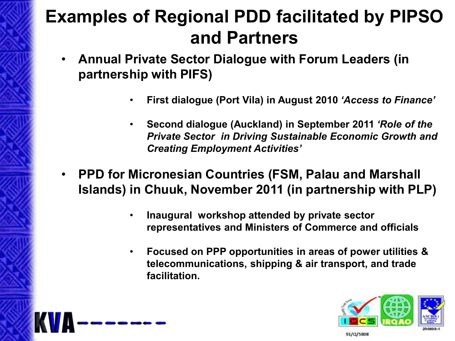#### **Examples of Regional PDD facilitated by PIPSO and Partners**

- **Annual Private Sector Dialogue with Forum Leaders (in partnership with PIFS)** 
	- **First dialogue (Port Vila) in August 2010** *'Access to Finance'*
	- **Second dialogue (Auckland) in September 2011** *'Role of the Private Sector in Driving Sustainable Economic Growth and Creating Employment Activities'*
- **PPD for Micronesian Countries (FSM, Palau and Marshall Islands) in Chuuk, November 2011 (in partnership with PLP)** 
	- **Inaugural workshop attended by private sector representatives and Ministers of Commerce and officials**
	- **Focused on PPP opportunities in areas of power utilities & telecommunications, shipping & air transport, and trade facilitation.**

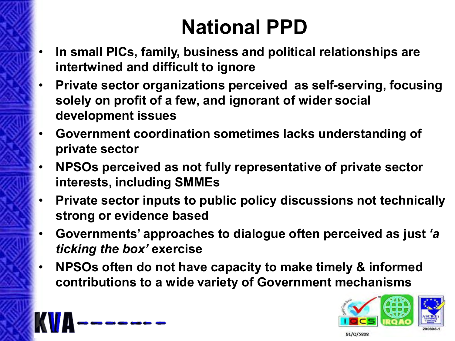# **National PPD**

- **In small PICs, family, business and political relationships are intertwined and difficult to ignore**
- **Private sector organizations perceived as self-serving, focusing solely on profit of a few, and ignorant of wider social development issues**
- **Government coordination sometimes lacks understanding of private sector**
- **NPSOs perceived as not fully representative of private sector interests, including SMMEs**
- **Private sector inputs to public policy discussions not technically strong or evidence based**
- **Governments' approaches to dialogue often perceived as just** *'a ticking the box'* **exercise**
- **NPSOs often do not have capacity to make timely & informed contributions to a wide variety of Government mechanisms**

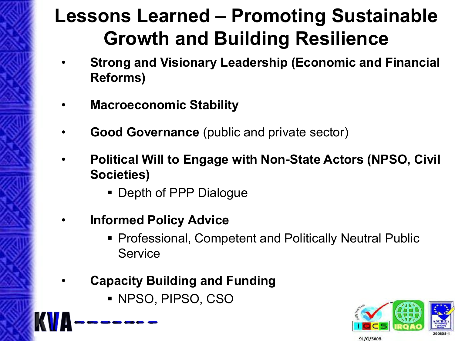## **Lessons Learned – Promoting Sustainable Growth and Building Resilience**

- **Strong and Visionary Leadership (Economic and Financial Reforms)**
- **Macroeconomic Stability**
- **Good Governance** (public and private sector)
- **Political Will to Engage with Non-State Actors (NPSO, Civil Societies)** 
	- **Depth of PPP Dialogue**
- **Informed Policy Advice** 
	- Professional, Competent and Politically Neutral Public **Service**
- **Capacity Building and Funding** 
	- NPSO, PIPSO, CSO

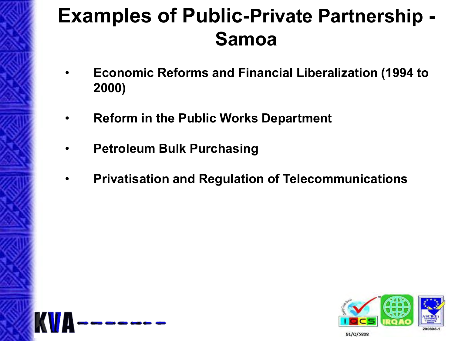## **Examples of Public-Private Partnership - Samoa**

- **Economic Reforms and Financial Liberalization (1994 to 2000)**
- **Reform in the Public Works Department**
- **Petroleum Bulk Purchasing**
- **Privatisation and Regulation of Telecommunications**